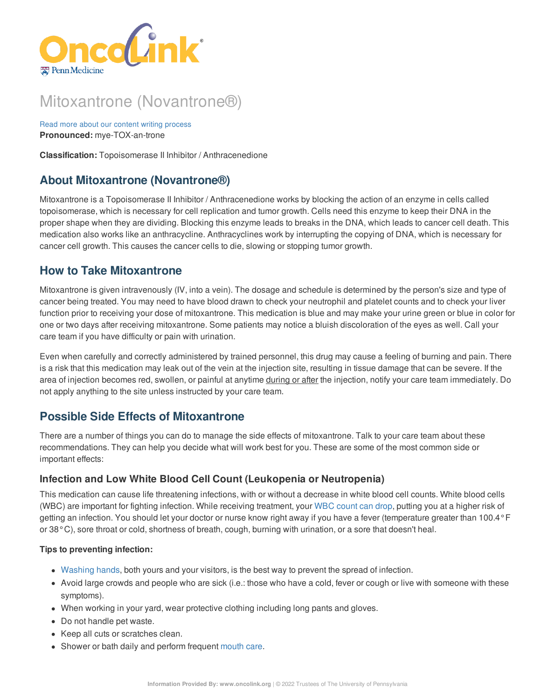

# Mitoxantrone (Novantrone®)

Read more about our content writing [process](https://www.oncolink.org/chemo-printer/20927?theme=oncolink/about/content) **Pronounced:** mye-TOX-an-trone

**Classification:** Topoisomerase II Inhibitor / Anthracenedione

# **About Mitoxantrone (Novantrone®)**

Mitoxantrone is a Topoisomerase II Inhibitor / Anthracenedione works by blocking the action of an enzyme in cells called topoisomerase, which is necessary for cell replication and tumor growth. Cells need this enzyme to keep their DNA in the proper shape when they are dividing. Blocking this enzyme leads to breaks in the DNA, which leads to cancer cell death. This medication also works like an anthracycline. Anthracyclines work by interrupting the copying of DNA, which is necessary for cancer cell growth. This causes the cancer cells to die, slowing or stopping tumor growth.

# **How to Take Mitoxantrone**

Mitoxantrone is given intravenously (IV, into a vein). The dosage and schedule is determined by the person's size and type of cancer being treated. You may need to have blood drawn to check your neutrophil and platelet counts and to check your liver function prior to receiving your dose of mitoxantrone. This medication is blue and may make your urine green or blue in color for one or two days after receiving mitoxantrone. Some patients may notice a bluish discoloration of the eyes as well. Call your care team if you have difficulty or pain with urination.

Even when carefully and correctly administered by trained personnel, this drug may cause a feeling of burning and pain. There is a risk that this medication may leak out of the vein at the injection site, resulting in tissue damage that can be severe. If the area of injection becomes red, swollen, or painful at anytime during or after the injection, notify your care team immediately. Do not apply anything to the site unless instructed by your care team.

# **Possible Side Effects of Mitoxantrone**

There are a number of things you can do to manage the side effects of mitoxantrone. Talk to your care team about these recommendations. They can help you decide what will work best for you. These are some of the most common side or important effects:

## **Infection and Low White Blood Cell Count (Leukopenia or Neutropenia)**

This medication can cause life threatening infections, with or without a decrease in white blood cell counts. White blood cells (WBC) are important for fighting infection. While receiving treatment, your WBC [count](https://www.oncolink.org/chemo-printer/20927?theme=oncolink/support/side-effects/low-blood-counts/neutropenia) can drop, putting you at a higher risk of getting an infection. You should let your doctor or nurse know right away if you have a fever (temperature greater than 100.4°F or 38°C), sore throat or cold, shortness of breath, cough, burning with urination, or a sore that doesn't heal.

#### **Tips to preventing infection:**

- [Washing](https://www.oncolink.org/chemo-printer/20927?theme=oncolink/cancer-treatment/hospital-helpers/hand-hygiene-hand-washing) hands, both yours and your visitors, is the best way to prevent the spread of infection.
- Avoid large crowds and people who are sick (i.e.: those who have a cold, fever or cough or live with someone with these symptoms).
- When working in your yard, wear protective clothing including long pants and gloves.
- Do not handle pet waste.
- Keep all cuts or scratches clean.
- Shower or bath daily and perform frequent [mouth](https://www.oncolink.org/chemo-printer/20927?theme=oncolink/support/side-effects/gastrointestinal-side-effects/mucositis/mucositis-mouth-sores-oral-care-tip-sheet) care.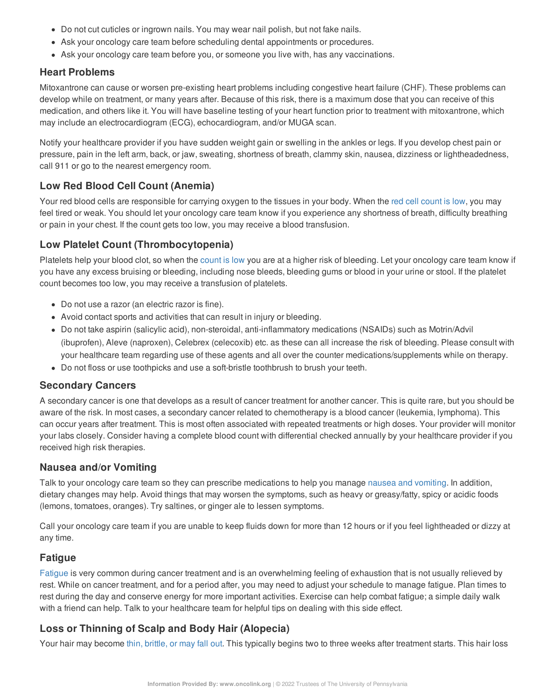- Do not cut cuticles or ingrown nails. You may wear nail polish, but not fake nails.
- Ask your oncology care team before scheduling dental appointments or procedures.
- Ask your oncology care team before you, or someone you live with, has any vaccinations.

#### **Heart Problems**

Mitoxantrone can cause or worsen pre-existing heart problems including congestive heart failure (CHF). These problems can develop while on treatment, or many years after. Because of this risk, there is a maximum dose that you can receive of this medication, and others like it. You will have baseline testing of your heart function prior to treatment with mitoxantrone, which may include an electrocardiogram (ECG), echocardiogram, and/or MUGA scan.

Notify your healthcare provider if you have sudden weight gain or swelling in the ankles or legs. If you develop chest pain or pressure, pain in the left arm, back, or jaw, sweating, shortness of breath, clammy skin, nausea, dizziness or lightheadedness, call 911 or go to the nearest emergency room.

## **Low Red Blood Cell Count (Anemia)**

Your red blood cells are responsible for carrying oxygen to the tissues in your body. When the red cell [count](https://www.oncolink.org/chemo-printer/20927?theme=oncolink/support/side-effects/low-blood-counts/low-red-blood-cell-count-anemia) is low, you may feel tired or weak. You should let your oncology care team know if you experience any shortness of breath, difficulty breathing or pain in your chest. If the count gets too low, you may receive a blood transfusion.

#### **Low Platelet Count (Thrombocytopenia)**

Platelets help your blood clot, so when the [count](https://www.oncolink.org/chemo-printer/20927?theme=oncolink/support/side-effects/low-blood-counts/low-platelet-count-thrombocytopenia) is low you are at a higher risk of bleeding. Let your oncology care team know if you have any excess bruising or bleeding, including nose bleeds, bleeding gums or blood in your urine or stool. If the platelet count becomes too low, you may receive a transfusion of platelets.

- Do not use a razor (an electric razor is fine).
- Avoid contact sports and activities that can result in injury or bleeding.
- Do not take aspirin (salicylic acid), non-steroidal, anti-inflammatory medications (NSAIDs) such as Motrin/Advil (ibuprofen), Aleve (naproxen), Celebrex (celecoxib) etc. as these can all increase the risk of bleeding. Please consult with your healthcare team regarding use of these agents and all over the counter medications/supplements while on therapy.
- Do not floss or use toothpicks and use a soft-bristle toothbrush to brush your teeth.

#### **Secondary Cancers**

A secondary cancer is one that develops as a result of cancer treatment for another cancer. This is quite rare, but you should be aware of the risk. In most cases, a secondary cancer related to chemotherapy is a blood cancer (leukemia, lymphoma). This can occur years after treatment. This is most often associated with repeated treatments or high doses. Your provider will monitor your labs closely. Consider having a complete blood count with differential checked annually by your healthcare provider if you received high risk therapies.

#### **Nausea and/or Vomiting**

Talk to your oncology care team so they can prescribe medications to help you manage nausea and [vomiting](https://www.oncolink.org/chemo-printer/20927?theme=oncolink/support/side-effects/gastrointestinal-side-effects/nausea-and-vomiting). In addition, dietary changes may help. Avoid things that may worsen the symptoms, such as heavy or greasy/fatty, spicy or acidic foods (lemons, tomatoes, oranges). Try saltines, or ginger ale to lessen symptoms.

Call your oncology care team if you are unable to keep fluids down for more than 12 hours or if you feel lightheaded or dizzy at any time.

## **Fatigue**

[Fatigue](https://www.oncolink.org/chemo-printer/20927?theme=oncolink/support/side-effects/other-side-effects/fatigue-and-cancer/managing-fatigue) is very common during cancer treatment and is an overwhelming feeling of exhaustion that is not usually relieved by rest. While on cancer treatment, and for a period after, you may need to adjust your schedule to manage fatigue. Plan times to rest during the day and conserve energy for more important activities. Exercise can help combat fatigue; a simple daily walk with a friend can help. Talk to your healthcare team for helpful tips on dealing with this side effect.

## **Loss or Thinning of Scalp and Body Hair (Alopecia)**

Your hair may become thin, [brittle,](https://www.oncolink.org/chemo-printer/20927?theme=oncolink/support/side-effects/skin-hair-nail-side-effects/hair-loss-alopecia-from-chemotherapy) or may fall out. This typically begins two to three weeks after treatment starts. This hair loss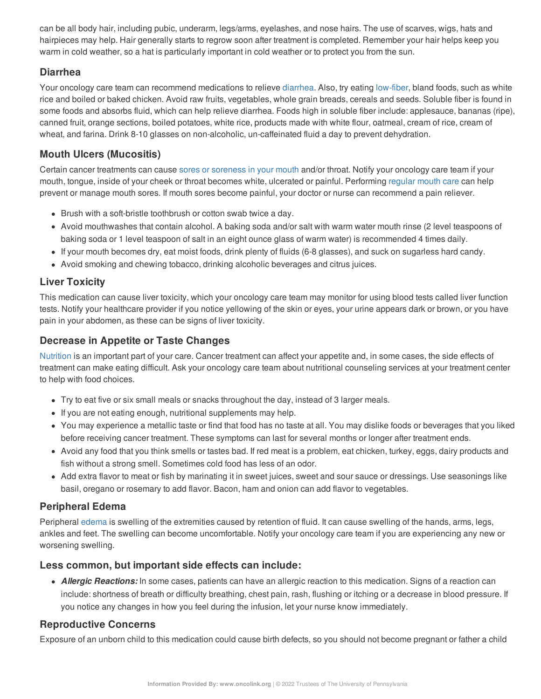can be all body hair, including pubic, underarm, legs/arms, eyelashes, and nose hairs. The use of scarves, wigs, hats and hairpieces may help. Hair generally starts to regrow soon after treatment is completed. Remember your hair helps keep you warm in cold weather, so a hat is particularly important in cold weather or to protect you from the sun.

#### **Diarrhea**

Your oncology care team can recommend medications to relieve [diarrhea](https://www.oncolink.org/chemo-printer/20927?theme=oncolink/support/side-effects/gastrointestinal-side-effects/diarrhea/diarrhea). Also, try eating [low-fiber](https://www.oncolink.org/chemo-printer/20927?theme=oncolink/support/nutrition-and-cancer/during-and-after-treatment/low-fiber-diet-for-diarrhea), bland foods, such as white rice and boiled or baked chicken. Avoid raw fruits, vegetables, whole grain breads, cereals and seeds. Soluble fiber is found in some foods and absorbs fluid, which can help relieve diarrhea. Foods high in soluble fiber include: applesauce, bananas (ripe), canned fruit, orange sections, boiled potatoes, white rice, products made with white flour, oatmeal, cream of rice, cream of wheat, and farina. Drink 8-10 glasses on non-alcoholic, un-caffeinated fluid a day to prevent dehydration.

## **Mouth Ulcers (Mucositis)**

Certain cancer treatments can cause sores or [soreness](https://www.oncolink.org/chemo-printer/20927?theme=oncolink/support/side-effects/gastrointestinal-side-effects/mucositis/all-about-mucositis) in your mouth and/or throat. Notify your oncology care team if your mouth, tongue, inside of your cheek or throat becomes white, ulcerated or painful. Performing [regular](https://www.oncolink.org/chemo-printer/20927?theme=oncolink/support/side-effects/gastrointestinal-side-effects/mucositis/mucositis-mouth-sores-oral-care-tip-sheet) mouth care can help prevent or manage mouth sores. If mouth sores become painful, your doctor or nurse can recommend a pain reliever.

- Brush with a soft-bristle toothbrush or cotton swab twice a day.
- Avoid mouthwashes that contain alcohol. A baking soda and/or salt with warm water mouth rinse (2 level teaspoons of baking soda or 1 level teaspoon of salt in an eight ounce glass of warm water) is recommended 4 times daily.
- If your mouth becomes dry, eat moist foods, drink plenty of fluids (6-8 glasses), and suck on sugarless hard candy.
- Avoid smoking and chewing tobacco, drinking alcoholic beverages and citrus juices.

## **Liver Toxicity**

This medication can cause liver toxicity, which your oncology care team may monitor for using blood tests called liver function tests. Notify your healthcare provider if you notice yellowing of the skin or eyes, your urine appears dark or brown, or you have pain in your abdomen, as these can be signs of liver toxicity.

## **Decrease in Appetite or Taste Changes**

[Nutrition](https://www.oncolink.org/chemo-printer/20927?theme=oncolink/support/nutrition-and-cancer/during-and-after-treatment) is an important part of your care. Cancer treatment can affect your appetite and, in some cases, the side effects of treatment can make eating difficult. Ask your oncology care team about nutritional counseling services at your treatment center to help with food choices.

- Try to eat five or six small meals or snacks throughout the day, instead of 3 larger meals.
- If you are not eating enough, nutritional supplements may help.
- You may experience a metallic taste or find that food has no taste at all. You may dislike foods or beverages that you liked before receiving cancer treatment. These symptoms can last for several months or longer after treatment ends.
- Avoid any food that you think smells or tastes bad. If red meat is a problem, eat chicken, turkey, eggs, dairy products and fish without a strong smell. Sometimes cold food has less of an odor.
- Add extra flavor to meat or fish by marinating it in sweet juices, sweet and sour sauce or dressings. Use seasonings like basil, oregano or rosemary to add flavor. Bacon, ham and onion can add flavor to vegetables.

#### **Peripheral Edema**

Peripheral [edema](https://www.oncolink.org/chemo-printer/20927?theme=oncolink/support/side-effects/other-side-effects/edema-swelling) is swelling of the extremities caused by retention of fluid. It can cause swelling of the hands, arms, legs, ankles and feet. The swelling can become uncomfortable. Notify your oncology care team if you are experiencing any new or worsening swelling.

#### **Less common, but important side effects can include:**

*Allergic Reactions:* In some cases, patients can have an allergic reaction to this medication. Signs of a reaction can include: shortness of breath or difficulty breathing, chest pain, rash, flushing or itching or a decrease in blood pressure. If you notice any changes in how you feel during the infusion, let your nurse know immediately.

## **Reproductive Concerns**

Exposure of an unborn child to this medication could cause birth defects, so you should not become pregnant or father a child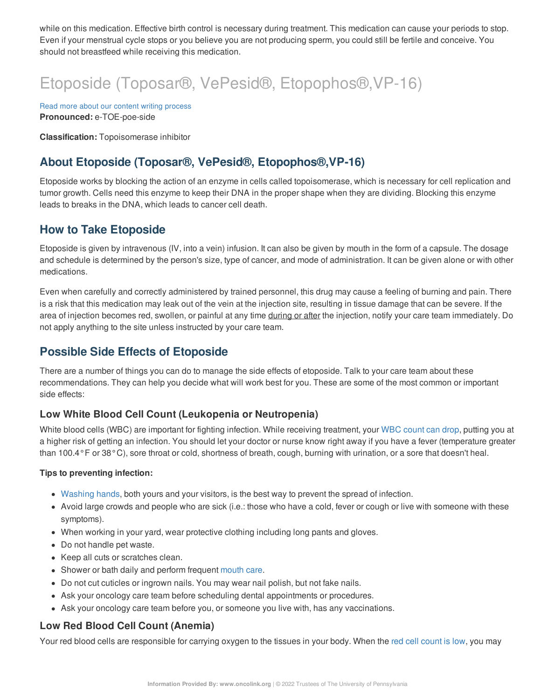while on this medication. Effective birth control is necessary during treatment. This medication can cause your periods to stop. Even if your menstrual cycle stops or you believe you are not producing sperm, you could still be fertile and conceive. You should not breastfeed while receiving this medication.

# Etoposide (Toposar®, VePesid®, Etopophos®,VP-16)

Read more about our content writing [process](https://www.oncolink.org/chemo-printer/20927?theme=oncolink/about/content) **Pronounced:** e-TOE-poe-side

**Classification:** Topoisomerase inhibitor

# **About Etoposide (Toposar®, VePesid®, Etopophos®,VP-16)**

Etoposide works by blocking the action of an enzyme in cells called topoisomerase, which is necessary for cell replication and tumor growth. Cells need this enzyme to keep their DNA in the proper shape when they are dividing. Blocking this enzyme leads to breaks in the DNA, which leads to cancer cell death.

# **How to Take Etoposide**

Etoposide is given by intravenous (IV, into a vein) infusion. It can also be given by mouth in the form of a capsule. The dosage and schedule is determined by the person's size, type of cancer, and mode of administration. It can be given alone or with other medications.

Even when carefully and correctly administered by trained personnel, this drug may cause a feeling of burning and pain. There is a risk that this medication may leak out of the vein at the injection site, resulting in tissue damage that can be severe. If the area of injection becomes red, swollen, or painful at any time during or after the injection, notify your care team immediately. Do not apply anything to the site unless instructed by your care team.

# **Possible Side Effects of Etoposide**

There are a number of things you can do to manage the side effects of etoposide. Talk to your care team about these recommendations. They can help you decide what will work best for you. These are some of the most common or important side effects:

## **Low White Blood Cell Count (Leukopenia or Neutropenia)**

White blood cells (WBC) are important for fighting infection. While receiving treatment, your WBC [count](https://www.oncolink.org/chemo-printer/20927?theme=oncolink/support/side-effects/low-blood-counts/neutropenia) can drop, putting you at a higher risk of getting an infection. You should let your doctor or nurse know right away if you have a fever (temperature greater than 100.4°F or 38°C), sore throat or cold, shortness of breath, cough, burning with urination, or a sore that doesn't heal.

#### **Tips to preventing infection:**

- [Washing](https://www.oncolink.org/chemo-printer/20927?theme=oncolink/cancer-treatment/hospital-helpers/hand-hygiene-hand-washing) hands, both yours and your visitors, is the best way to prevent the spread of infection.
- Avoid large crowds and people who are sick (i.e.: those who have a cold, fever or cough or live with someone with these symptoms).
- When working in your yard, wear protective clothing including long pants and gloves.
- Do not handle pet waste.
- Keep all cuts or scratches clean.
- Shower or bath daily and perform frequent [mouth](https://www.oncolink.org/chemo-printer/20927?theme=oncolink/support/side-effects/gastrointestinal-side-effects/mucositis/mucositis-mouth-sores-oral-care-tip-sheet) care.
- Do not cut cuticles or ingrown nails. You may wear nail polish, but not fake nails.
- Ask your oncology care team before scheduling dental appointments or procedures.
- Ask your oncology care team before you, or someone you live with, has any vaccinations.

## **Low Red Blood Cell Count (Anemia)**

Your red blood cells are responsible for carrying oxygen to the tissues in your body. When the red cell [count](https://www.oncolink.org/chemo-printer/20927?theme=oncolink/support/side-effects/low-blood-counts/low-red-blood-cell-count-anemia) is low, you may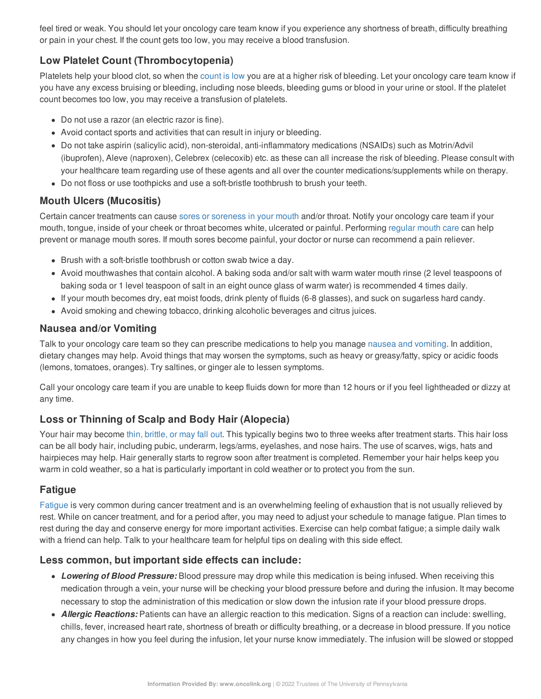feel tired or weak. You should let your oncology care team know if you experience any shortness of breath, difficulty breathing or pain in your chest. If the count gets too low, you may receive a blood transfusion.

# **Low Platelet Count (Thrombocytopenia)**

Platelets help your blood clot, so when the [count](https://www.oncolink.org/chemo-printer/20927?theme=oncolink/support/side-effects/low-blood-counts/low-platelet-count-thrombocytopenia) is low you are at a higher risk of bleeding. Let your oncology care team know if you have any excess bruising or bleeding, including nose bleeds, bleeding gums or blood in your urine or stool. If the platelet count becomes too low, you may receive a transfusion of platelets.

- Do not use a razor (an electric razor is fine).
- Avoid contact sports and activities that can result in injury or bleeding.
- Do not take aspirin (salicylic acid), non-steroidal, anti-inflammatory medications (NSAIDs) such as Motrin/Advil (ibuprofen), Aleve (naproxen), Celebrex (celecoxib) etc. as these can all increase the risk of bleeding. Please consult with your healthcare team regarding use of these agents and all over the counter medications/supplements while on therapy.
- Do not floss or use toothpicks and use a soft-bristle toothbrush to brush your teeth.

#### **Mouth Ulcers (Mucositis)**

Certain cancer treatments can cause sores or [soreness](https://www.oncolink.org/chemo-printer/20927?theme=oncolink/support/side-effects/gastrointestinal-side-effects/mucositis/all-about-mucositis) in your mouth and/or throat. Notify your oncology care team if your mouth, tongue, inside of your cheek or throat becomes white, ulcerated or painful. Performing [regular](https://www.oncolink.org/chemo-printer/20927?theme=oncolink/support/side-effects/gastrointestinal-side-effects/mucositis/mucositis-mouth-sores-oral-care-tip-sheet) mouth care can help prevent or manage mouth sores. If mouth sores become painful, your doctor or nurse can recommend a pain reliever.

- Brush with a soft-bristle toothbrush or cotton swab twice a day.
- Avoid mouthwashes that contain alcohol. A baking soda and/or salt with warm water mouth rinse (2 level teaspoons of baking soda or 1 level teaspoon of salt in an eight ounce glass of warm water) is recommended 4 times daily.
- If your mouth becomes dry, eat moist foods, drink plenty of fluids (6-8 glasses), and suck on sugarless hard candy.
- Avoid smoking and chewing tobacco, drinking alcoholic beverages and citrus juices.

#### **Nausea and/or Vomiting**

Talk to your oncology care team so they can prescribe medications to help you manage nausea and [vomiting](https://www.oncolink.org/chemo-printer/20927?theme=oncolink/support/side-effects/gastrointestinal-side-effects/nausea-and-vomiting). In addition, dietary changes may help. Avoid things that may worsen the symptoms, such as heavy or greasy/fatty, spicy or acidic foods (lemons, tomatoes, oranges). Try saltines, or ginger ale to lessen symptoms.

Call your oncology care team if you are unable to keep fluids down for more than 12 hours or if you feel lightheaded or dizzy at any time.

## **Loss or Thinning of Scalp and Body Hair (Alopecia)**

Your hair may become thin, [brittle,](https://www.oncolink.org/chemo-printer/20927?theme=oncolink/support/side-effects/skin-hair-nail-side-effects/hair-loss-alopecia-from-chemotherapy) or may fall out. This typically begins two to three weeks after treatment starts. This hair loss can be all body hair, including pubic, underarm, legs/arms, eyelashes, and nose hairs. The use of scarves, wigs, hats and hairpieces may help. Hair generally starts to regrow soon after treatment is completed. Remember your hair helps keep you warm in cold weather, so a hat is particularly important in cold weather or to protect you from the sun.

## **Fatigue**

[Fatigue](https://www.oncolink.org/chemo-printer/20927?theme=oncolink/support/side-effects/other-side-effects/fatigue-and-cancer/managing-fatigue) is very common during cancer treatment and is an overwhelming feeling of exhaustion that is not usually relieved by rest. While on cancer treatment, and for a period after, you may need to adjust your schedule to manage fatigue. Plan times to rest during the day and conserve energy for more important activities. Exercise can help combat fatigue; a simple daily walk with a friend can help. Talk to your healthcare team for helpful tips on dealing with this side effect.

## **Less common, but important side effects can include:**

- *Lowering of Blood Pressure:* Blood pressure may drop while this medication is being infused. When receiving this medication through a vein, your nurse will be checking your blood pressure before and during the infusion. It may become necessary to stop the administration of this medication or slow down the infusion rate if your blood pressure drops.
- *Allergic Reactions:* Patients can have an allergic reaction to this medication. Signs of a reaction can include: swelling, chills, fever, increased heart rate, shortness of breath or difficulty breathing, or a decrease in blood pressure. If you notice any changes in how you feel during the infusion, let your nurse know immediately. The infusion will be slowed or stopped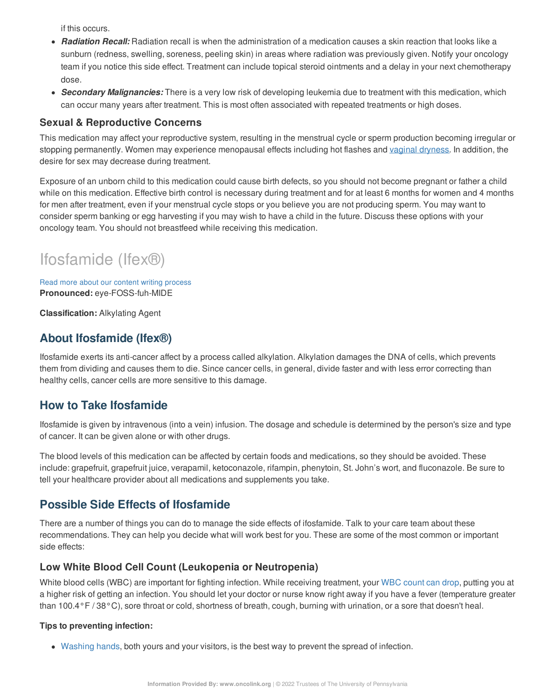if this occurs.

- *Radiation Recall:* Radiation recall is when the administration of a medication causes a skin reaction that looks like a sunburn (redness, swelling, soreness, peeling skin) in areas where radiation was previously given. Notify your oncology team if you notice this side effect. Treatment can include topical steroid ointments and a delay in your next chemotherapy dose.
- *Secondary Malignancies:* There is a very low risk of developing leukemia due to treatment with this medication, which can occur many years after treatment. This is most often associated with repeated treatments or high doses.

#### **Sexual & Reproductive Concerns**

This medication may affect your reproductive system, resulting in the menstrual cycle or sperm production becoming irregular or stopping permanently. Women may experience menopausal effects including hot flashes and vaginal [dryness](https://www.oncolink.org/chemo-printer/20927?theme=oncolink/support/sexuality-fertility/sexuality/vaginal-dryness-and-painful-intercourse). In addition, the desire for sex may decrease during treatment.

Exposure of an unborn child to this medication could cause birth defects, so you should not become pregnant or father a child while on this medication. Effective birth control is necessary during treatment and for at least 6 months for women and 4 months for men after treatment, even if your menstrual cycle stops or you believe you are not producing sperm. You may want to consider sperm banking or egg harvesting if you may wish to have a child in the future. Discuss these options with your oncology team. You should not breastfeed while receiving this medication.

# Ifosfamide (Ifex®)

Read more about our content writing [process](https://www.oncolink.org/chemo-printer/20927?theme=oncolink/about/content) **Pronounced:** eye-FOSS-fuh-MIDE

**Classification:** Alkylating Agent

# **About Ifosfamide (Ifex®)**

Ifosfamide exerts its anti-cancer affect by a process called alkylation. Alkylation damages the DNA of cells, which prevents them from dividing and causes them to die. Since cancer cells, in general, divide faster and with less error correcting than healthy cells, cancer cells are more sensitive to this damage.

# **How to Take Ifosfamide**

Ifosfamide is given by intravenous (into a vein) infusion. The dosage and schedule is determined by the person's size and type of cancer. It can be given alone or with other drugs.

The blood levels of this medication can be affected by certain foods and medications, so they should be avoided. These include: grapefruit, grapefruit juice, verapamil, ketoconazole, rifampin, phenytoin, St. John's wort, and fluconazole. Be sure to tell your healthcare provider about all medications and supplements you take.

# **Possible Side Effects of Ifosfamide**

There are a number of things you can do to manage the side effects of ifosfamide. Talk to your care team about these recommendations. They can help you decide what will work best for you. These are some of the most common or important side effects:

#### **Low White Blood Cell Count (Leukopenia or Neutropenia)**

White blood cells (WBC) are important for fighting infection. While receiving treatment, your WBC [count](https://www.oncolink.org/chemo-printer/20927?theme=oncolink/support/side-effects/low-blood-counts/neutropenia) can drop, putting you at a higher risk of getting an infection. You should let your doctor or nurse know right away if you have a fever (temperature greater than 100.4°F / 38°C), sore throat or cold, shortness of breath, cough, burning with urination, or a sore that doesn't heal.

#### **Tips to preventing infection:**

[Washing](https://www.oncolink.org/chemo-printer/20927?theme=oncolink/cancer-treatment/hospital-helpers/hand-hygiene-hand-washing) hands, both yours and your visitors, is the best way to prevent the spread of infection.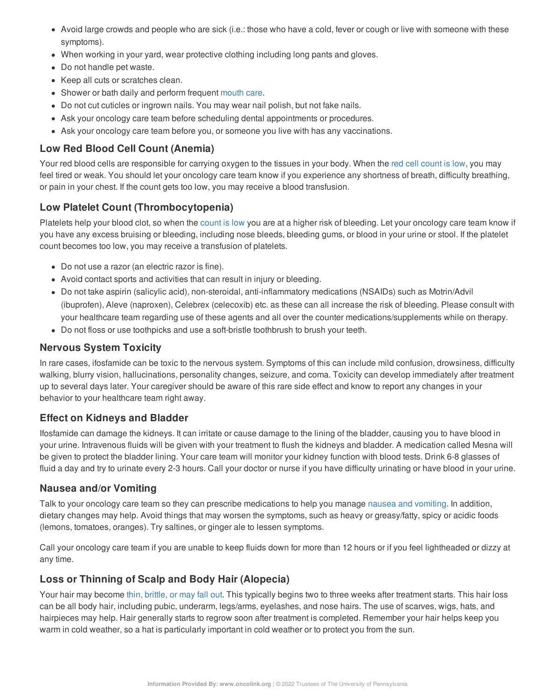- Avoid large crowds and people who are sick (i.e.: those who have a cold, fever or cough or live with someone with these symptoms).
- When working in your yard, wear protective clothing including long pants and gloves.
- Do not handle pet waste.
- Keep all cuts or scratches clean.
- Shower or bath daily and perform frequent [mouth](https://www.oncolink.org/chemo-printer/20927?theme=oncolink/support/side-effects/gastrointestinal-side-effects/mucositis/mucositis-mouth-sores-oral-care-tip-sheet) care.
- Do not cut cuticles or ingrown nails. You may wear nail polish, but not fake nails.
- Ask your oncology care team before scheduling dental appointments or procedures.
- Ask your oncology care team before you, or someone you live with has any vaccinations.

# **Low Red Blood Cell Count (Anemia)**

Your red blood cells are responsible for carrying oxygen to the tissues in your body. When the red cell [count](https://www.oncolink.org/chemo-printer/20927?theme=oncolink/support/side-effects/low-blood-counts/low-red-blood-cell-count-anemia) is low, you may feel tired or weak. You should let your oncology care team know if you experience any shortness of breath, difficulty breathing, or pain in your chest. If the count gets too low, you may receive a blood transfusion.

# **Low Platelet Count (Thrombocytopenia)**

Platelets help your blood clot, so when the [count](https://www.oncolink.org/chemo-printer/20927?theme=oncolink/support/side-effects/low-blood-counts/low-platelet-count-thrombocytopenia) is low you are at a higher risk of bleeding. Let your oncology care team know if you have any excess bruising or bleeding, including nose bleeds, bleeding gums, or blood in your urine or stool. If the platelet count becomes too low, you may receive a transfusion of platelets.

- Do not use a razor (an electric razor is fine).
- Avoid contact sports and activities that can result in injury or bleeding.
- Do not take aspirin (salicylic acid), non-steroidal, anti-inflammatory medications (NSAIDs) such as Motrin/Advil (ibuprofen), Aleve (naproxen), Celebrex (celecoxib) etc. as these can all increase the risk of bleeding. Please consult with your healthcare team regarding use of these agents and all over the counter medications/supplements while on therapy.
- Do not floss or use toothpicks and use a soft-bristle toothbrush to brush your teeth.

#### **Nervous System Toxicity**

In rare cases, ifosfamide can be toxic to the nervous system. Symptoms of this can include mild confusion, drowsiness, difficulty walking, blurry vision, hallucinations, personality changes, seizure, and coma. Toxicity can develop immediately after treatment up to several days later. Your caregiver should be aware of this rare side effect and know to report any changes in your behavior to your healthcare team right away.

#### **Effect on Kidneys and Bladder**

Ifosfamide can damage the kidneys. It can irritate or cause damage to the lining of the bladder, causing you to have blood in your urine. Intravenous fluids will be given with your treatment to flush the kidneys and bladder. A medication called Mesna will be given to protect the bladder lining. Your care team will monitor your kidney function with blood tests. Drink 6-8 glasses of fluid a day and try to urinate every 2-3 hours. Call your doctor or nurse if you have difficulty urinating or have blood in your urine.

#### **Nausea and/or Vomiting**

Talk to your oncology care team so they can prescribe medications to help you manage nausea and [vomiting](https://www.oncolink.org/chemo-printer/20927?theme=oncolink/support/side-effects/gastrointestinal-side-effects/nausea-and-vomiting). In addition, dietary changes may help. Avoid things that may worsen the symptoms, such as heavy or greasy/fatty, spicy or acidic foods (lemons, tomatoes, oranges). Try saltines, or ginger ale to lessen symptoms.

Call your oncology care team if you are unable to keep fluids down for more than 12 hours or if you feel lightheaded or dizzy at any time.

## **Loss or Thinning of Scalp and Body Hair (Alopecia)**

Your hair may become thin, [brittle,](https://www.oncolink.org/chemo-printer/20927?theme=oncolink/support/side-effects/skin-hair-nail-side-effects/hair-loss-alopecia-from-chemotherapy) or may fall out. This typically begins two to three weeks after treatment starts. This hair loss can be all body hair, including pubic, underarm, legs/arms, eyelashes, and nose hairs. The use of scarves, wigs, hats, and hairpieces may help. Hair generally starts to regrow soon after treatment is completed. Remember your hair helps keep you warm in cold weather, so a hat is particularly important in cold weather or to protect you from the sun.